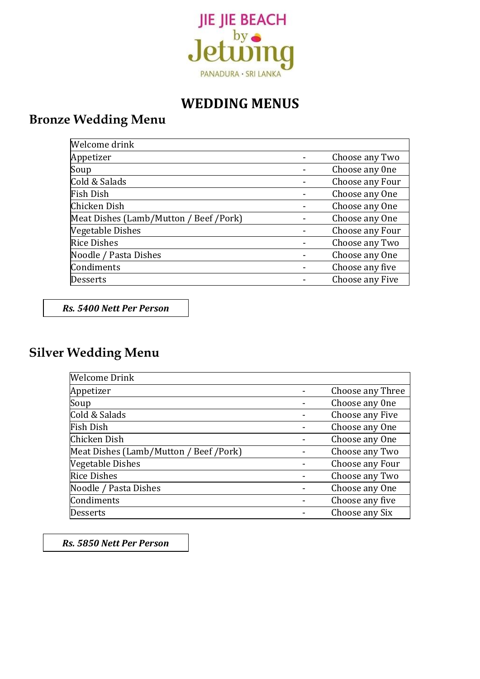

### **WEDDING MENUS**

## **Bronze Wedding Menu**

| Welcome drink                          |                 |
|----------------------------------------|-----------------|
| Appetizer                              | Choose any Two  |
| Soup                                   | Choose any One  |
| Cold & Salads                          | Choose any Four |
| Fish Dish                              | Choose any One  |
| Chicken Dish                           | Choose any One  |
| Meat Dishes (Lamb/Mutton / Beef /Pork) | Choose any One  |
| Vegetable Dishes                       | Choose any Four |
| <b>Rice Dishes</b>                     | Choose any Two  |
| Noodle / Pasta Dishes                  | Choose any One  |
| Condiments                             | Choose any five |
| Desserts                               | Choose any Five |

*Rs. 5400 Nett Per Person*

## **Silver Wedding Menu**

| <b>Welcome Drink</b>                   |                  |
|----------------------------------------|------------------|
| Appetizer                              | Choose any Three |
| Soup                                   | Choose any One   |
| Cold & Salads                          | Choose any Five  |
| <b>Fish Dish</b>                       | Choose any One   |
| Chicken Dish                           | Choose any One   |
| Meat Dishes (Lamb/Mutton / Beef /Pork) | Choose any Two   |
| Vegetable Dishes                       | Choose any Four  |
| <b>Rice Dishes</b>                     | Choose any Two   |
| Noodle / Pasta Dishes                  | Choose any One   |
| Condiments                             | Choose any five  |
| Desserts                               | Choose any Six   |

*Rs. 5850 Nett Per Person*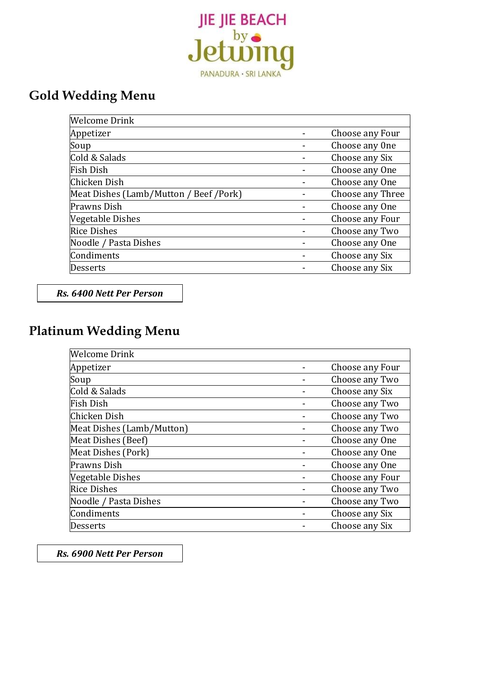

# **Gold Wedding Menu**

| <b>Welcome Drink</b>                   |                  |
|----------------------------------------|------------------|
| Appetizer                              | Choose any Four  |
| Soup                                   | Choose any One   |
| Cold & Salads                          | Choose any Six   |
| Fish Dish                              | Choose any One   |
| Chicken Dish                           | Choose any One   |
| Meat Dishes (Lamb/Mutton / Beef /Pork) | Choose any Three |
| Prawns Dish                            | Choose any One   |
| Vegetable Dishes                       | Choose any Four  |
| <b>Rice Dishes</b>                     | Choose any Two   |
| Noodle / Pasta Dishes                  | Choose any One   |
| Condiments                             | Choose any Six   |
| Desserts                               | Choose any Six   |

*Rs. 6400 Nett Per Person*

## **Platinum Wedding Menu**

| <b>Welcome Drink</b>      |                 |
|---------------------------|-----------------|
| Appetizer                 | Choose any Four |
| Soup                      | Choose any Two  |
| Cold & Salads             | Choose any Six  |
| Fish Dish                 | Choose any Two  |
| Chicken Dish              | Choose any Two  |
| Meat Dishes (Lamb/Mutton) | Choose any Two  |
| Meat Dishes (Beef)        | Choose any One  |
| Meat Dishes (Pork)        | Choose any One  |
| Prawns Dish               | Choose any One  |
| Vegetable Dishes          | Choose any Four |
| <b>Rice Dishes</b>        | Choose any Two  |
| Noodle / Pasta Dishes     | Choose any Two  |
| Condiments                | Choose any Six  |
| Desserts                  | Choose any Six  |

*Rs. 6900 Nett Per Person*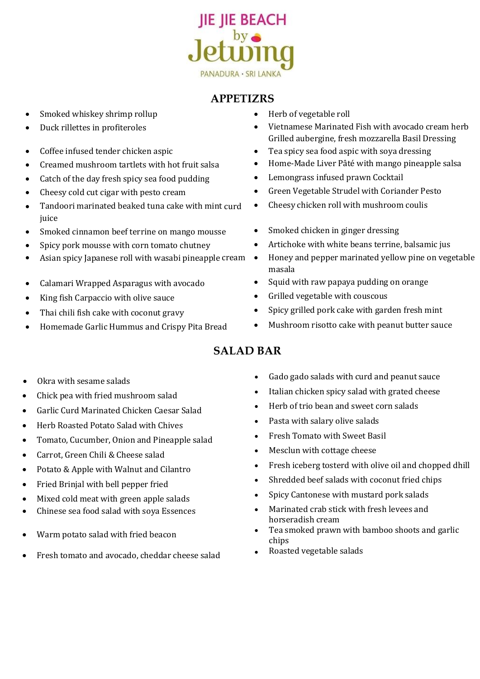

#### **APPETIZRS**

- Smoked whiskey shrimp rollup **Example 20** Herb of vegetable roll
- 
- 
- 
- Catch of the day fresh spicy sea food pudding Lemongrass infused prawn Cocktail
- 
- Tandoori marinated beaked tuna cake with mint curd juice
- Smoked cinnamon beef terrine on mango mousse Smoked chicken in ginger dressing
- 
- Asian spicy Japanese roll with wasabi pineapple cream Honey and pepper marinated yellow pine on vegetable
- Calamari Wrapped Asparagus with avocado **•** Squid with raw papaya pudding on orange
- King fish Carpaccio with olive sauce **Carroll** Grilled vegetable with couscous
- 
- 
- 
- Duck rillettes in profiteroles Vietnamese Marinated Fish with avocado cream herb Grilled aubergine, fresh mozzarella Basil Dressing
- Coffee infused tender chicken aspic **the contract of the Corporation of the Corporat •** Tea spicy sea food aspic with soya dressing
	- Creamed mushroom tartlets with hot fruit salsa **••** Home-Made Liver Pâté with mango pineapple salsa
		-
- Cheesy cold cut cigar with pesto cream **Chambel Coream** Green Vegetable Strudel with Coriander Pesto
	- Cheesy chicken roll with mushroom coulis
	-
	- Spicy pork mousse with corn tomato chutney **Come Containst Artichoke with white beans terrine, balsamic jus** 
		- masala
		-
		-
- Thai chili fish cake with coconut gravy **Spicy grilled pork cake with garden fresh mint** 
	- Homemade Garlic Hummus and Crispy Pita Bread Mushroom risotto cake with peanut butter sauce

#### **SALAD BAR**

- 
- 
- Garlic Curd Marinated Chicken Caesar Salad
- Herb Roasted Potato Salad with Chives Pasta with salary olive salads
- Tomato, Cucumber, Onion and Pineapple salad Fresh Tomato with Sweet Basil
- Carrot, Green Chili & Cheese salad **Access Mesclun with cottage cheese**
- Potato & Apple with Walnut and Cilantro
- 
- 
- 
- Warm potato salad with fried beacon
- Fresh tomato and avocado, cheddar cheese salad **Roasted vegetable salads**
- Okra with sesame salads **Gado gado salads with curd and peanut sauce Gado gado salads with curd and peanut sauce**
- Chick pea with fried mushroom salad **Italian chicken spicy salad with grated cheese** 
	- Herb of trio bean and sweet corn salads
	-
	-
	-
	- Fresh iceberg tosterd with olive oil and chopped dhill
- Fried Brinjal with bell pepper fried **Shredded beef salads with coconut fried chips**
- Mixed cold meat with green apple salads **Spicy Cantonese with mustard pork salads** Spicy Cantonese with mustard pork salads
- Chinese sea food salad with soya Essences Marinated crab stick with fresh levees and horseradish cream
	- Tea smoked prawn with bamboo shoots and garlic chips
	-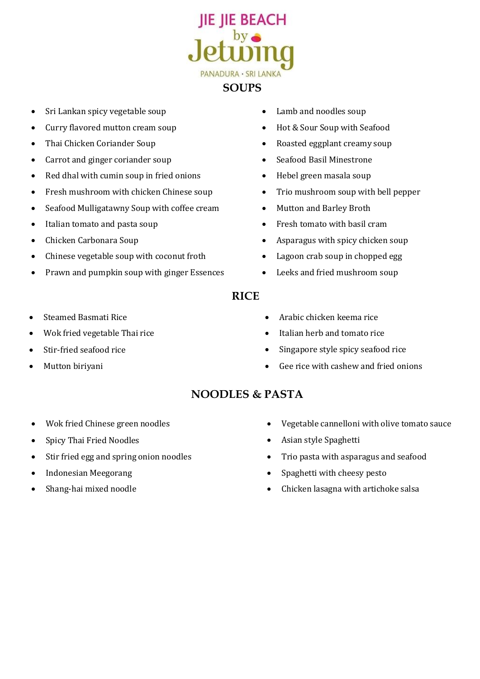

- Sri Lankan spicy vegetable soup **Company** Lamb and noodles soup
- Curry flavored mutton cream soup **•** Hot & Sour Soup with Seafood
- 
- Carrot and ginger coriander soup <br>• Seafood Basil Minestrone
- Red dhal with cumin soup in fried onions Hebel green masala soup
- Fresh mushroom with chicken Chinese soup Trio mushroom soup with bell pepper
- Seafood Mulligatawny Soup with coffee cream Mutton and Barley Broth
- Italian tomato and pasta soup **Figure 1 Figure 1 Figure 1 Figure 1 Figure 1 Figure 1 Figure 1 Figure 1 Figure 1 Figure 1 Figure 1 Figure 1 Figure 1 Figure 1 Figure 1 Figure 1 Figure 1 Fi**
- 
- Chinese vegetable soup with coconut froth Lagoon crab soup in chopped egg
- Prawn and pumpkin soup with ginger Essences Leeks and fried mushroom soup
- 
- 
- Thai Chicken Coriander Soup **Company Contained Parameter Soup Contained Parameter Soup Roasted eggplant creamy soup** 
	-
	-
	-
	-
	-
- Chicken Carbonara Soup **Asparagus with spicy chicken soup •** Asparagus with spicy chicken soup
	-
	-

#### **RICE**

- 
- 
- 
- 
- Steamed Basmati Rice **Arabic chicken keema rice Arabic chicken keema rice**
- Wok fried vegetable Thai rice **Italian herb** and tomato rice **Italian herb** and tomato rice
- Stir-fried seafood rice **Stir-fried seafood rice Singapore style spicy seafood rice**
- Mutton biriyani **Gee** rice with cashew and fried onions

#### **NOODLES & PASTA**

- 
- Spicy Thai Fried Noodles **Asian style Spaghetti** Asian style Spaghetti
- Stir fried egg and spring onion noodles Trio pasta with asparagus and seafood
- 
- 
- Wok fried Chinese green noodles Vegetable cannelloni with olive tomato sauce
	-
	-
	- Indonesian Meegorang Spaghetti with cheesy pesto
- Shang-hai mixed noodle **Chicken is a set of the Shang-hai mixed noodle Chicken lasagna with artichoke salsa**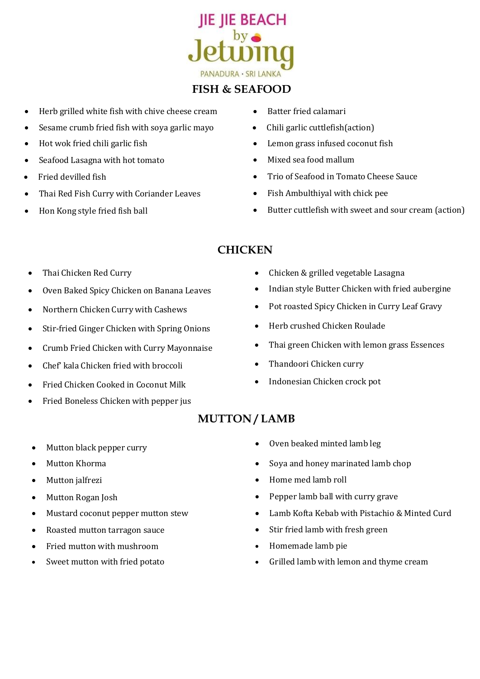

### **FISH & SEAFOOD**

- Herb grilled white fish with chive cheese cream Batter fried calamari
- Sesame crumb fried fish with soya garlic mayo Chili garlic cuttlefish(action)
- 
- Seafood Lasagna with hot tomato Mixed sea food mallum
- 
- Thai Red Fish Curry with Coriander Leaves Fish Ambulthiyal with chick pee
- 
- 
- 
- Hot wok fried chili garlic fish **Company Lemon grass infused coconut fish** 
	-
- Fried devilled fish Trio of Seafood in Tomato Cheese Sauce
	-
	- Hon Kong style fried fish ball **Butter cuttlefish with sweet and sour cream (action)**

#### **CHICKEN**

- 
- 
- Northern Chicken Curry with Cashews
- Stir-fried Ginger Chicken with Spring Onions Herb crushed Chicken Roulade
- Crumb Fried Chicken with Curry Mayonnaise
- Chef' kala Chicken fried with broccoli Thandoori Chicken curry
- Fried Chicken Cooked in Coconut Milk
- Fried Boneless Chicken with pepper jus
- Thai Chicken Red Curry **Chicken & Guide Chicken & grilled vegetable Lasagna**
- Oven Baked Spicy Chicken on Banana Leaves Indian style Butter Chicken with fried aubergine
	- Pot roasted Spicy Chicken in Curry Leaf Gravy
	-
	- Thai green Chicken with lemon grass Essences
	-
	- Indonesian Chicken crock pot

### **MUTTON / LAMB**

- Mutton black pepper curry
- 
- 
- 
- 
- Roasted mutton tarragon sauce **Stir fried lamb** with fresh green
- Fried mutton with mushroom Homemade lamb pie
- 
- Oven beaked minted lamb leg
- Mutton Khorma **Sould be a Sould be seen to see Soviet** Sova and honey marinated lamb chop
- Mutton jalfrezi Home med lamb roll
- Mutton Rogan Josh Pepper lamb ball with curry grave
- Mustard coconut pepper mutton stew Lamb Kofta Kebab with Pistachio & Minted Curd
	-
	-
	- Sweet mutton with fried potato **Crilled lamb** with lemon and thyme cream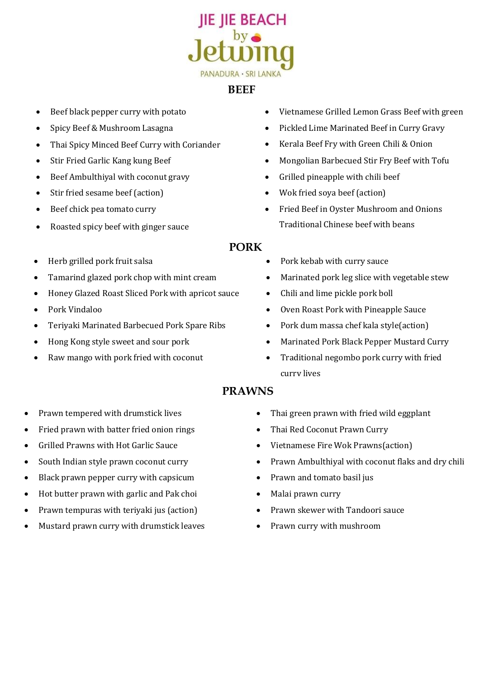

#### **BEEF**

- 
- 
- Thai Spicy Minced Beef Curry with Coriander Kerala Beef Fry with Green Chili & Onion
- 
- Beef Ambulthiyal with coconut gravy **•** Grilled pineapple with chili beef
- Stir fried sesame beef (action) Wok fried soya beef (action)
- 
- 
- 
- 
- Honey Glazed Roast Sliced Pork with apricot sauce Chili and lime pickle pork boll
- 
- Teriyaki Marinated Barbecued Pork Spare Ribs Pork dum massa chef kala style(action)
- 
- 
- Beef black pepper curry with potato **•** Vietnamese Grilled Lemon Grass Beef with green
	- Spicy Beef & Mushroom Lasagna **by Call 2018** Pickled Lime Marinated Beef in Curry Gravy
		-
- Stir Fried Garlic Kang kung Beef Mongolian Barbecued Stir Fry Beef with Tofu
	-
	-
- Beef chick pea tomato curry **Example 20** Fried Beef in Oyster Mushroom and Onions • Roasted spicy beef with ginger sauce Traditional Chinese beef with beans

#### **PORK**

- Herb grilled pork fruit salsa **Company** Pork kebab with curry sauce
- Tamarind glazed pork chop with mint cream Marinated pork leg slice with vegetable stew
	-
- Pork Vindaloo **Case Access Pork Vindaloo Oven Roast Pork with Pineapple Sauce** 
	-
- Hong Kong style sweet and sour pork **•** Marinated Pork Black Pepper Mustard Curry
- Raw mango with pork fried with coconut Traditional negombo pork curry with fried curry lives

#### **PRAWNS**

- 
- Fried prawn with batter fried onion rings  **Thai Red Coconut Prawn Curry**
- 
- 
- Black prawn pepper curry with capsicum Prawn and tomato basil jus
- Hot butter prawn with garlic and Pak choi Malai prawn curry
- Prawn tempuras with teriyaki jus (action)
- Mustard prawn curry with drumstick leaves
- Prawn tempered with drumstick lives **Conserversity Conserversity Conserversity** Prawn with fried wild eggplant
	-
- Grilled Prawns with Hot Garlic Sauce **Carlic Sauce vietnamese Fire Wok Prawns(action)**
- South Indian style prawn coconut curry Prawn Ambulthiyal with coconut flaks and dry chili
	-
	-
	- Prawn skewer with Tandoori sauce
	- Prawn curry with mushroom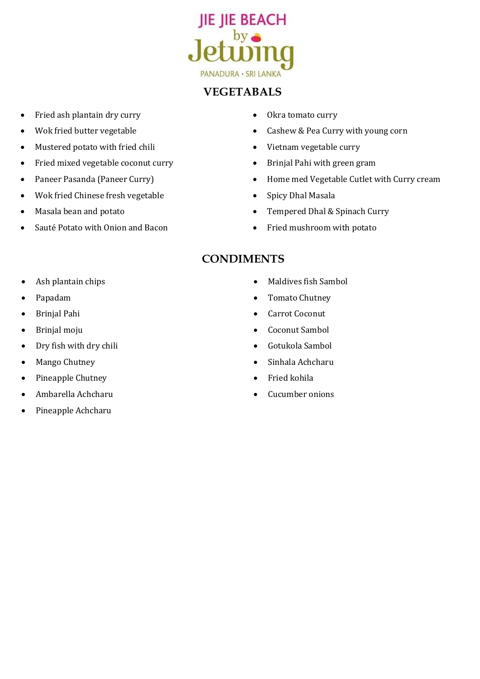

### **VEGETABALS**

- Fried ash plantain dry curry **Calcular Contract Contract Curry •** Okra tomato curry
- 
- Mustered potato with fried chili  $\bullet$  Vietnam vegetable curry
- Fried mixed vegetable coconut curry **Example 20** Brinjal Pahi with green gram
- 
- Wok fried Chinese fresh vegetable Spicy Dhal Masala
- 
- Sauté Potato with Onion and Bacon **•** Fried mushroom with potato
- 
- Wok fried butter vegetable **Cashew & Pea Curry with young corn** 
	-
	-
- Paneer Pasanda (Paneer Curry) **•** Home med Vegetable Cutlet with Curry cream
	-
- Masala bean and potato **Tempered Dhal & Spinach Curry Tempered Dhal & Spinach Curry** 
	-

#### **CONDIMENTS**

- 
- 
- 
- 
- Dry fish with dry chili Gotukola Sambol
- 
- Pineapple Chutney **Find kohila**
- Ambarella Achcharu Cucumber onions
- Pineapple Achcharu
- Ash plantain chips **Maldives fish Sambol** Maldives fish Sambol
- Papadam Tomato Chutney
- Brinjal Pahi Carrot Coconut
- Brinjal moju Coconut Sambol
	-
- Mango Chutney **Sinhala Achcharu** Sinhala Achcharu Sinhala Achcharu
	-
	-